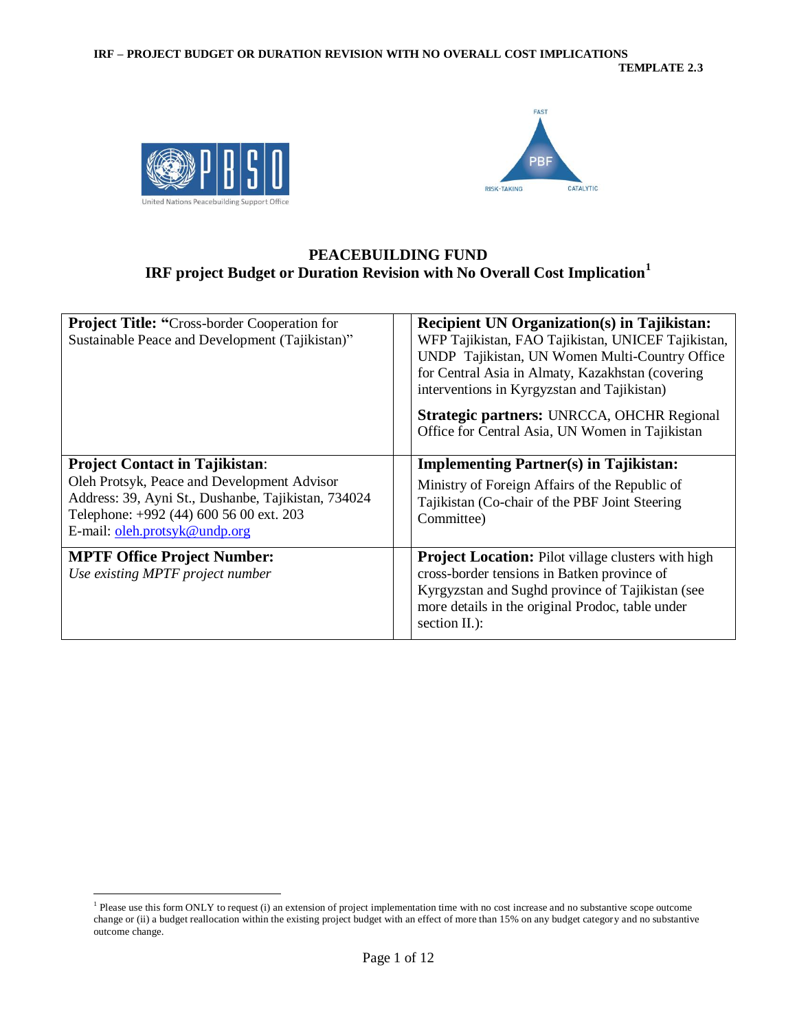



### **PEACEBUILDING FUND IRF project Budget or Duration Revision with No Overall Cost Implication<sup>1</sup>**

| <b>Project Title: "Cross-border Cooperation for</b><br>Sustainable Peace and Development (Tajikistan)"                                                                                                                  | <b>Recipient UN Organization(s) in Tajikistan:</b><br>WFP Tajikistan, FAO Tajikistan, UNICEF Tajikistan,<br>UNDP Tajikistan, UN Women Multi-Country Office<br>for Central Asia in Almaty, Kazakhstan (covering<br>interventions in Kyrgyzstan and Tajikistan)<br>Strategic partners: UNRCCA, OHCHR Regional<br>Office for Central Asia, UN Women in Tajikistan |
|-------------------------------------------------------------------------------------------------------------------------------------------------------------------------------------------------------------------------|----------------------------------------------------------------------------------------------------------------------------------------------------------------------------------------------------------------------------------------------------------------------------------------------------------------------------------------------------------------|
| <b>Project Contact in Tajikistan:</b><br>Oleh Protsyk, Peace and Development Advisor<br>Address: 39, Ayni St., Dushanbe, Tajikistan, 734024<br>Telephone: +992 (44) 600 56 00 ext. 203<br>E-mail: oleh.protsyk@undp.org | <b>Implementing Partner(s) in Tajikistan:</b><br>Ministry of Foreign Affairs of the Republic of<br>Tajikistan (Co-chair of the PBF Joint Steering)<br>Committee)                                                                                                                                                                                               |
| <b>MPTF Office Project Number:</b><br>Use existing MPTF project number                                                                                                                                                  | <b>Project Location:</b> Pilot village clusters with high<br>cross-border tensions in Batken province of<br>Kyrgyzstan and Sughd province of Tajikistan (see<br>more details in the original Prodoc, table under<br>section II.):                                                                                                                              |

 $\overline{a}$ <sup>1</sup> Please use this form ONLY to request (i) an extension of project implementation time with no cost increase and no substantive scope outcome change or (ii) a budget reallocation within the existing project budget with an effect of more than 15% on any budget category and no substantive outcome change.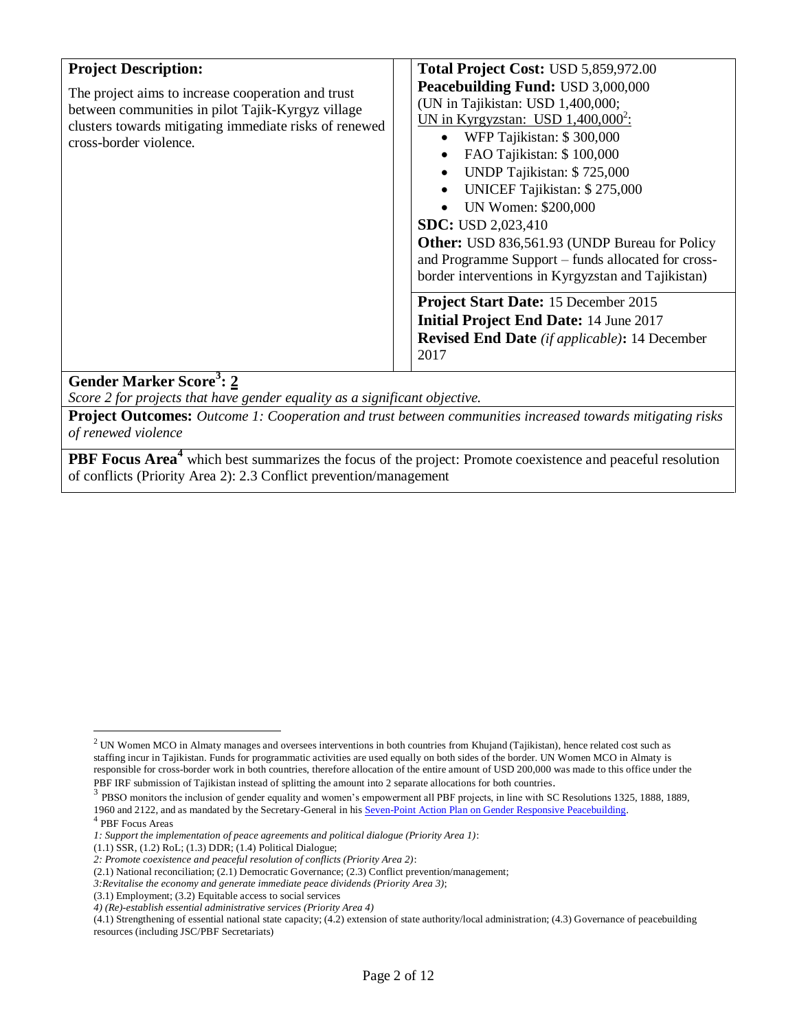| The project aims to increase cooperation and trust<br>between communities in pilot Tajik-Kyrgyz village<br>clusters towards mitigating immediate risks of renewed<br>cross-border violence. | Peacebuilding Fund: USD 3,000,000<br>(UN in Tajikistan: USD 1,400,000;<br>UN in Kyrgyzstan: USD $1,400,000^2$ :<br>WFP Tajikistan: \$300,000<br>$\bullet$<br>FAO Tajikistan: \$100,000<br>$\bullet$<br>UNDP Tajikistan: \$725,000<br>$\bullet$<br>UNICEF Tajikistan: \$275,000<br>$\bullet$<br>UN Women: \$200,000<br><b>SDC:</b> USD 2,023,410<br><b>Other:</b> USD 836,561.93 (UNDP Bureau for Policy<br>and Programme Support – funds allocated for cross-<br>border interventions in Kyrgyzstan and Tajikistan)<br><b>Project Start Date:</b> 15 December 2015<br><b>Initial Project End Date: 14 June 2017</b><br><b>Revised End Date</b> (if applicable): 14 December<br>2017 |
|---------------------------------------------------------------------------------------------------------------------------------------------------------------------------------------------|-------------------------------------------------------------------------------------------------------------------------------------------------------------------------------------------------------------------------------------------------------------------------------------------------------------------------------------------------------------------------------------------------------------------------------------------------------------------------------------------------------------------------------------------------------------------------------------------------------------------------------------------------------------------------------------|
| $Q_{\text{max}}$ J <sub>3</sub> M <sub>2</sub> also $Q_{\text{max}}$ 3. A                                                                                                                   |                                                                                                                                                                                                                                                                                                                                                                                                                                                                                                                                                                                                                                                                                     |

### **Gender Marker Score<sup>3</sup> : 2**

*Score 2 for projects that have gender equality as a significant objective.*

**Project Outcomes:** *Outcome 1: Cooperation and trust between communities increased towards mitigating risks of renewed violence*

**PBF Focus Area<sup>4</sup>** which best summarizes the focus of the project: Promote coexistence and peaceful resolution of conflicts (Priority Area 2): 2.3 Conflict prevention/management

 $\overline{a}$ 

 $2$  UN Women MCO in Almaty manages and oversees interventions in both countries from Khujand (Tajikistan), hence related cost such as staffing incur in Tajikistan. Funds for programmatic activities are used equally on both sides of the border. UN Women MCO in Almaty is responsible for cross-border work in both countries, therefore allocation of the entire amount of USD 200,000 was made to this office under the PBF IRF submission of Tajikistan instead of splitting the amount into 2 separate allocations for both countries.

<sup>&</sup>lt;sup>3</sup> PBSO monitors the inclusion of gender equality and women's empowerment all PBF projects, in line with SC Resolutions 1325, 1888, 1889, 1960 and 2122, and as mandated by the Secretary-General in hi[s Seven-Point Action Plan on Gender Responsive Peacebuilding.](http://www.un.org/en/peacebuilding/pbso/pdf/seven_point_action_plan.pdf)

<sup>4</sup> PBF Focus Areas

*<sup>1:</sup> Support the implementation of peace agreements and political dialogue (Priority Area 1)*:

<sup>(1.1)</sup> SSR, (1.2) RoL; (1.3) DDR; (1.4) Political Dialogue;

*<sup>2:</sup> Promote coexistence and peaceful resolution of conflicts (Priority Area 2)*:

<sup>(2.1)</sup> National reconciliation; (2.1) Democratic Governance; (2.3) Conflict prevention/management;

*<sup>3:</sup>Revitalise the economy and generate immediate peace dividends (Priority Area 3)*;

<sup>(3.1)</sup> Employment; (3.2) Equitable access to social services

*<sup>4)</sup> (Re)-establish essential administrative services (Priority Area 4)*

<sup>(4.1)</sup> Strengthening of essential national state capacity; (4.2) extension of state authority/local administration; (4.3) Governance of peacebuilding resources (including JSC/PBF Secretariats)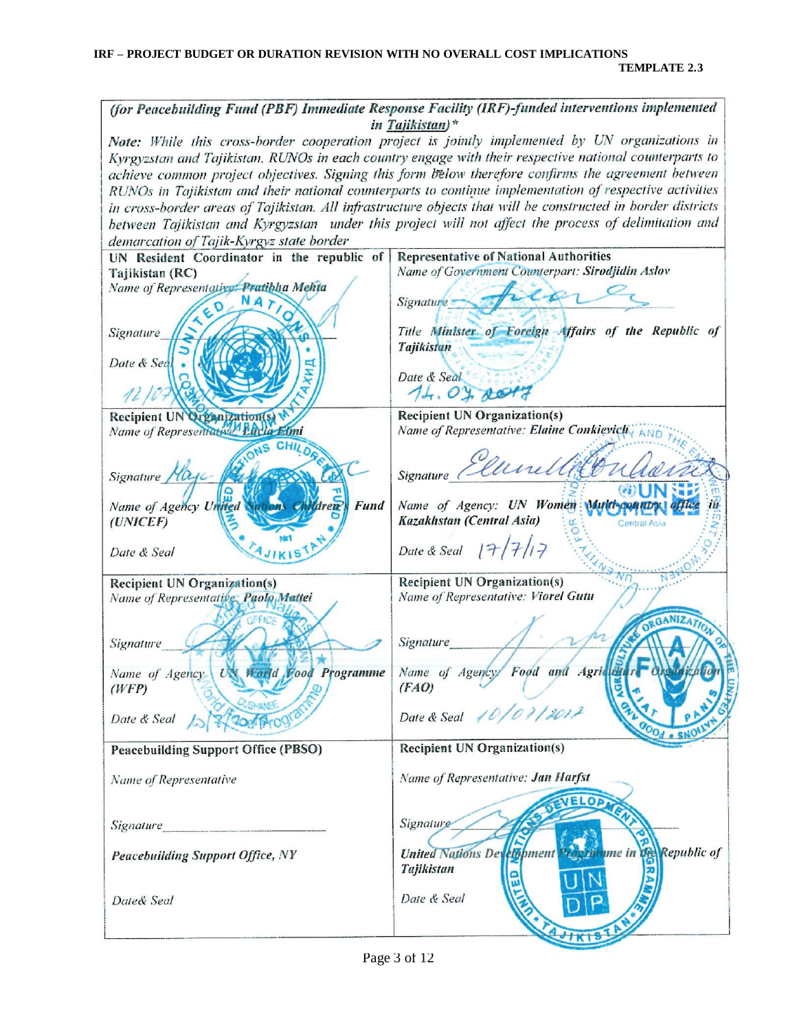(for Peacebuilding Fund (PBF) Immediate Response Facility (IRF)-funded interventions implemented in Tajikistan)\* Note: While this cross-border cooperation project is jointly implemented by UN organizations in Kyrgyzstan and Tajikistan, RUNOs in each country engage with their respective national counterparts to achieve common project objectives. Signing this form below therefore confirms the agreement between RUNOs in Tajikistan and their national counterparts to continue implementation of respective activities in cross-border areas of Tajikistan. All infrastructure objects that will be constructed in border districts between Tajikistan and Kyrgyzstan under this project will not affect the process of delimitation and demarcation of Tajik-Kyrgyz state border UN Resident Coordinator in the republic of **Representative of National Authorities** Name of Government Counterpart: Sirodjidin Aslov Tajikistan (RC) Name of Representative: Pratiblia Mehta  $20 NA$ Signature -Title Minister of Foreign Affairs of the Republic of Signature **Tajikistan** Date & Sec Date & Seal  $74.04$  re Recipient UN Organization(s) **Recipient UN Organization(s)** Name of Representative. Lucia Elmi Name of Representative: Elaine Conkievich, AND **CHII** unellet Signature Signature / Name of Agency: UN Women Multi-count **Fund** Name of Agency Un Kazakhstan (Central Asia)  $(UNICEF)$ Date & Seal  $|7/7$ Date & Seal **Recipient UN Organization(s) Recipient UN Organization(s)** Name of Representative: Viorel Gutu Name of Representative: Paolo Mattei *Signature* Signature **Horld** Food Programme Name of Agency Food and Agri Name of Agency. UN  $(WFP)$  $(FAO)$ Date & Seal Date & Seal **Recipient UN Organization(s) Peacebuilding Support Office (PBSO)** Name of Representative: Jan Harfst Name of Representative **ELOP** Signature Signature **United Nations Det Elsp**ment ume in Republic of **VRC Peacebuilding Support Office, NY Tajikistan** Date & Seal Date& Seal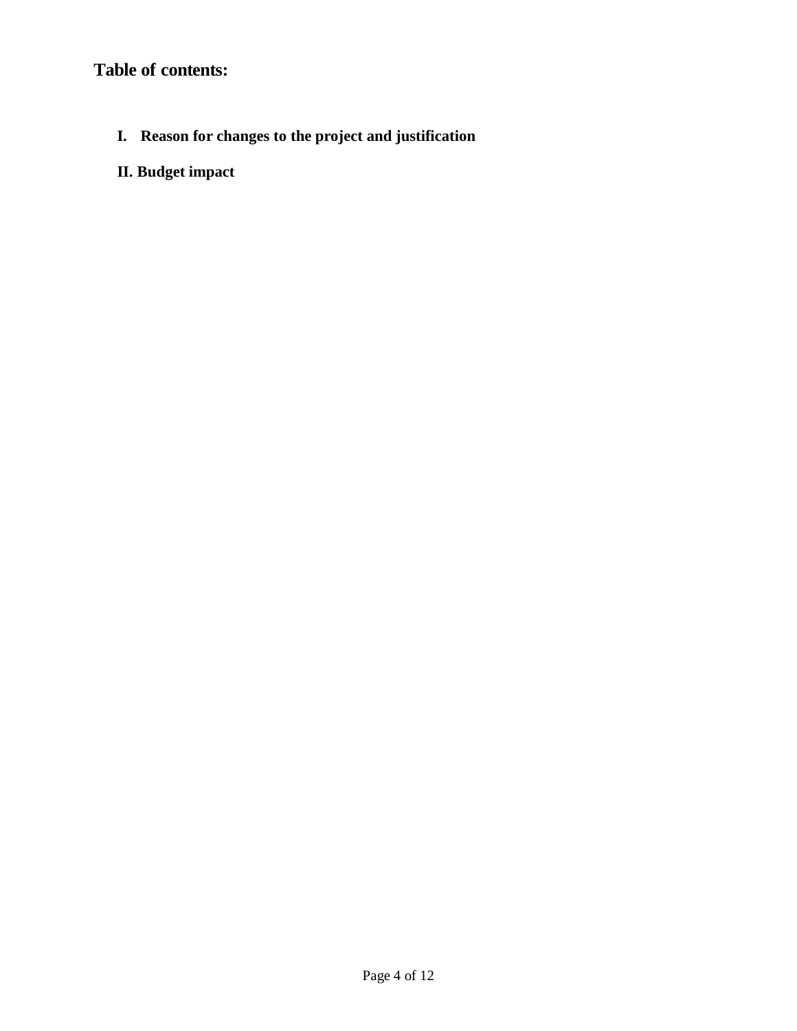# **Table of contents:**

- **I. Reason for changes to the project and justification**
- **II. Budget impact**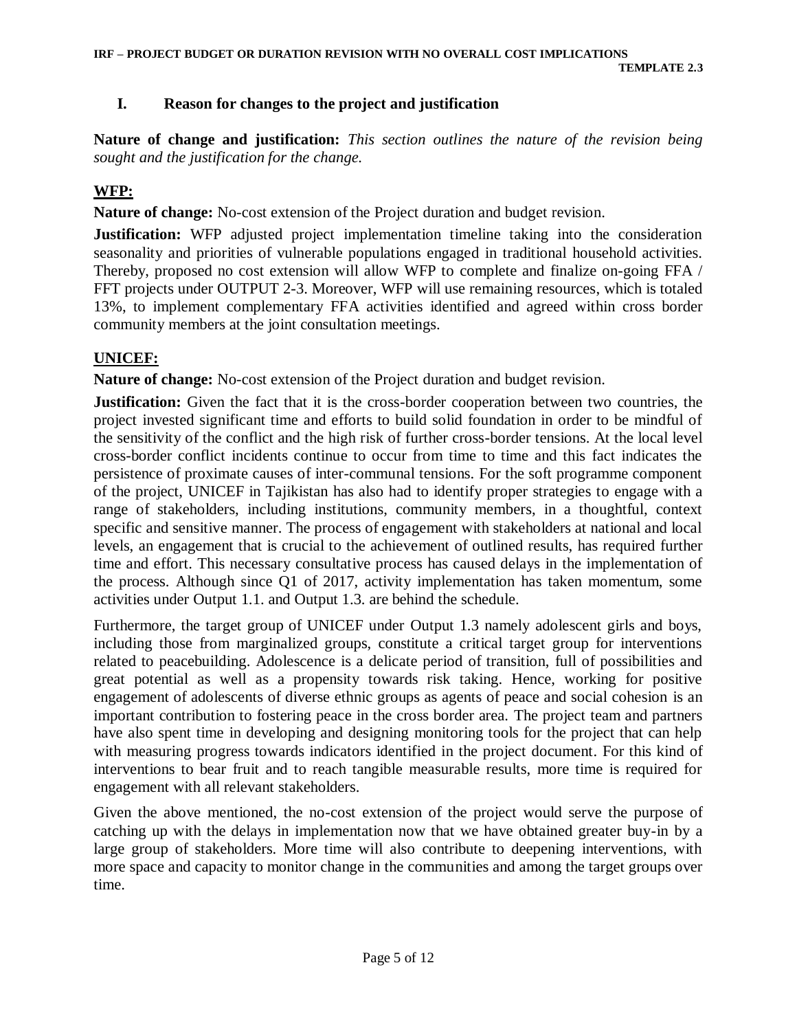#### **I. Reason for changes to the project and justification**

**Nature of change and justification:** *This section outlines the nature of the revision being sought and the justification for the change.*

#### **WFP:**

**Nature of change:** No-cost extension of the Project duration and budget revision.

**Justification:** WFP adjusted project implementation timeline taking into the consideration seasonality and priorities of vulnerable populations engaged in traditional household activities. Thereby, proposed no cost extension will allow WFP to complete and finalize on-going FFA / FFT projects under OUTPUT 2-3. Moreover, WFP will use remaining resources, which is totaled 13%, to implement complementary FFA activities identified and agreed within cross border community members at the joint consultation meetings.

#### **UNICEF:**

**Nature of change:** No-cost extension of the Project duration and budget revision.

**Justification:** Given the fact that it is the cross-border cooperation between two countries, the project invested significant time and efforts to build solid foundation in order to be mindful of the sensitivity of the conflict and the high risk of further cross-border tensions. At the local level cross-border conflict incidents continue to occur from time to time and this fact indicates the persistence of proximate causes of inter-communal tensions. For the soft programme component of the project, UNICEF in Tajikistan has also had to identify proper strategies to engage with a range of stakeholders, including institutions, community members, in a thoughtful, context specific and sensitive manner. The process of engagement with stakeholders at national and local levels, an engagement that is crucial to the achievement of outlined results, has required further time and effort. This necessary consultative process has caused delays in the implementation of the process. Although since Q1 of 2017, activity implementation has taken momentum, some activities under Output 1.1. and Output 1.3. are behind the schedule.

Furthermore, the target group of UNICEF under Output 1.3 namely adolescent girls and boys, including those from marginalized groups, constitute a critical target group for interventions related to peacebuilding. Adolescence is a delicate period of transition, full of possibilities and great potential as well as a propensity towards risk taking. Hence, working for positive engagement of adolescents of diverse ethnic groups as agents of peace and social cohesion is an important contribution to fostering peace in the cross border area. The project team and partners have also spent time in developing and designing monitoring tools for the project that can help with measuring progress towards indicators identified in the project document. For this kind of interventions to bear fruit and to reach tangible measurable results, more time is required for engagement with all relevant stakeholders.

Given the above mentioned, the no-cost extension of the project would serve the purpose of catching up with the delays in implementation now that we have obtained greater buy-in by a large group of stakeholders. More time will also contribute to deepening interventions, with more space and capacity to monitor change in the communities and among the target groups over time.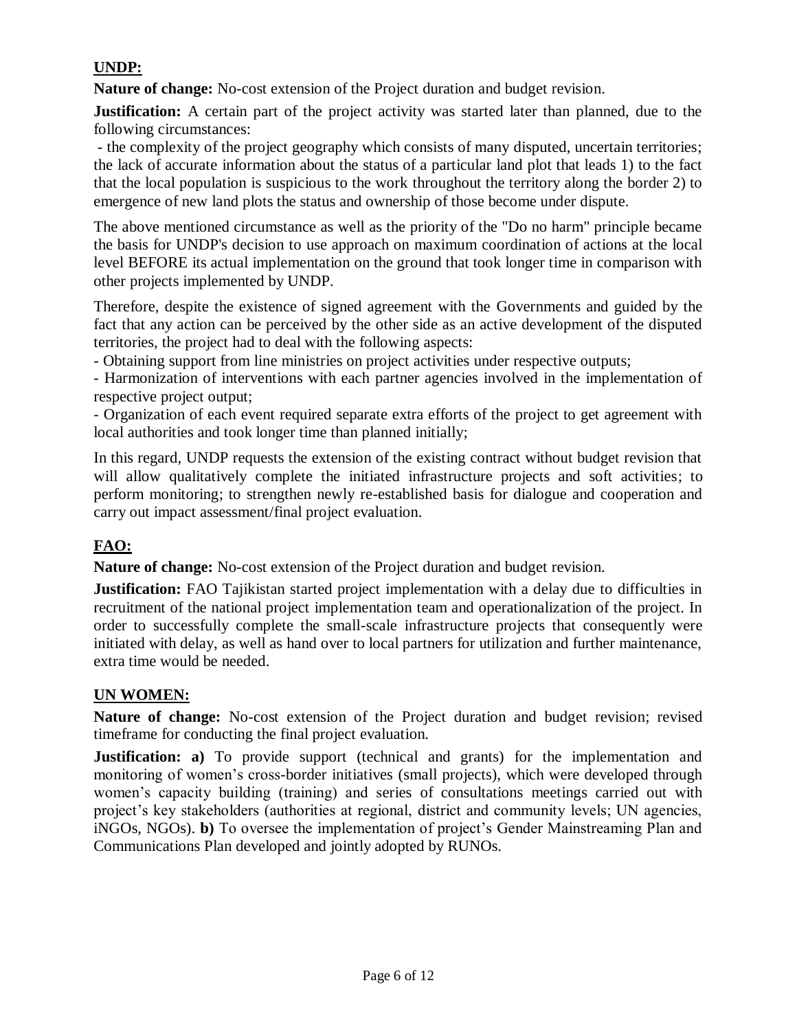### **UNDP:**

**Nature of change:** No-cost extension of the Project duration and budget revision.

**Justification:** A certain part of the project activity was started later than planned, due to the following circumstances:

- the complexity of the project geography which consists of many disputed, uncertain territories; the lack of accurate information about the status of a particular land plot that leads 1) to the fact that the local population is suspicious to the work throughout the territory along the border 2) to emergence of new land plots the status and ownership of those become under dispute.

The above mentioned circumstance as well as the priority of the "Do no harm" principle became the basis for UNDP's decision to use approach on maximum coordination of actions at the local level BEFORE its actual implementation on the ground that took longer time in comparison with other projects implemented by UNDP.

Therefore, despite the existence of signed agreement with the Governments and guided by the fact that any action can be perceived by the other side as an active development of the disputed territories, the project had to deal with the following aspects:

- Obtaining support from line ministries on project activities under respective outputs;

- Harmonization of interventions with each partner agencies involved in the implementation of respective project output;

- Organization of each event required separate extra efforts of the project to get agreement with local authorities and took longer time than planned initially;

In this regard, UNDP requests the extension of the existing contract without budget revision that will allow qualitatively complete the initiated infrastructure projects and soft activities; to perform monitoring; to strengthen newly re-established basis for dialogue and cooperation and carry out impact assessment/final project evaluation.

### **FAO:**

**Nature of change:** No-cost extension of the Project duration and budget revision.

**Justification:** FAO Tajikistan started project implementation with a delay due to difficulties in recruitment of the national project implementation team and operationalization of the project. In order to successfully complete the small-scale infrastructure projects that consequently were initiated with delay, as well as hand over to local partners for utilization and further maintenance, extra time would be needed.

#### **UN WOMEN:**

**Nature of change:** No-cost extension of the Project duration and budget revision; revised timeframe for conducting the final project evaluation.

**Justification:** a) To provide support (technical and grants) for the implementation and monitoring of women's cross-border initiatives (small projects), which were developed through women's capacity building (training) and series of consultations meetings carried out with project's key stakeholders (authorities at regional, district and community levels; UN agencies, iNGOs, NGOs). **b)** To oversee the implementation of project's Gender Mainstreaming Plan and Communications Plan developed and jointly adopted by RUNOs.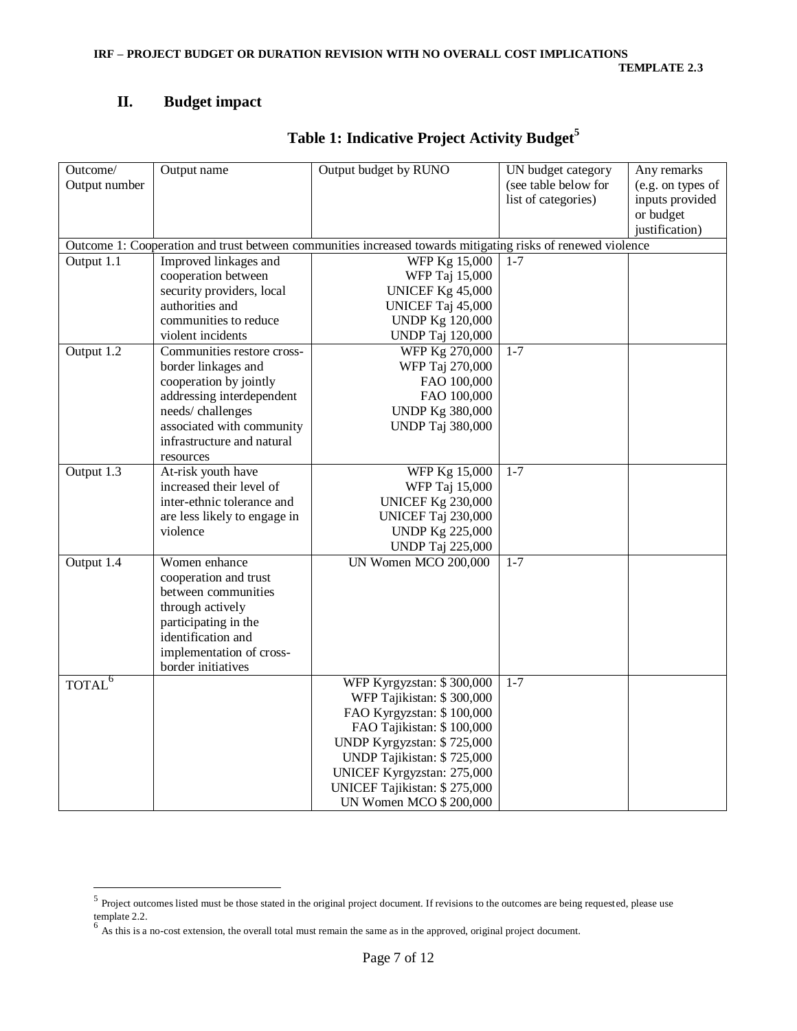### **II. Budget impact**

# **Table 1: Indicative Project Activity Budget<sup>5</sup>**

| Outcome/           | Output name                  | Output budget by RUNO                                                                                       | UN budget category   | Any remarks       |
|--------------------|------------------------------|-------------------------------------------------------------------------------------------------------------|----------------------|-------------------|
| Output number      |                              |                                                                                                             | (see table below for | (e.g. on types of |
|                    |                              |                                                                                                             | list of categories)  | inputs provided   |
|                    |                              |                                                                                                             |                      | or budget         |
|                    |                              |                                                                                                             |                      | justification)    |
|                    |                              | Outcome 1: Cooperation and trust between communities increased towards mitigating risks of renewed violence |                      |                   |
| Output 1.1         | Improved linkages and        | WFP Kg 15,000                                                                                               | $1 - 7$              |                   |
|                    | cooperation between          | WFP Taj 15,000                                                                                              |                      |                   |
|                    | security providers, local    | <b>UNICEF Kg 45,000</b>                                                                                     |                      |                   |
|                    | authorities and              | UNICEF Taj 45,000                                                                                           |                      |                   |
|                    | communities to reduce        | <b>UNDP Kg 120,000</b>                                                                                      |                      |                   |
|                    | violent incidents            | <b>UNDP</b> Taj 120,000                                                                                     |                      |                   |
| Output 1.2         | Communities restore cross-   | WFP Kg 270,000                                                                                              | $1 - 7$              |                   |
|                    | border linkages and          | WFP Taj 270,000                                                                                             |                      |                   |
|                    | cooperation by jointly       | FAO 100,000                                                                                                 |                      |                   |
|                    | addressing interdependent    | FAO 100,000                                                                                                 |                      |                   |
|                    | needs/challenges             | <b>UNDP Kg 380,000</b>                                                                                      |                      |                   |
|                    | associated with community    | <b>UNDP</b> Taj 380,000                                                                                     |                      |                   |
|                    | infrastructure and natural   |                                                                                                             |                      |                   |
|                    | resources                    |                                                                                                             |                      |                   |
| Output 1.3         | At-risk youth have           | WFP Kg 15,000                                                                                               | $1 - 7$              |                   |
|                    | increased their level of     | WFP Taj 15,000                                                                                              |                      |                   |
|                    | inter-ethnic tolerance and   | <b>UNICEF Kg 230,000</b>                                                                                    |                      |                   |
|                    | are less likely to engage in | UNICEF Taj 230,000                                                                                          |                      |                   |
|                    | violence                     | <b>UNDP Kg 225,000</b>                                                                                      |                      |                   |
|                    |                              | <b>UNDP</b> Taj 225,000                                                                                     |                      |                   |
| Output 1.4         | Women enhance                | UN Women MCO 200,000                                                                                        | $1 - 7$              |                   |
|                    | cooperation and trust        |                                                                                                             |                      |                   |
|                    | between communities          |                                                                                                             |                      |                   |
|                    | through actively             |                                                                                                             |                      |                   |
|                    | participating in the         |                                                                                                             |                      |                   |
|                    | identification and           |                                                                                                             |                      |                   |
|                    | implementation of cross-     |                                                                                                             |                      |                   |
|                    | border initiatives           |                                                                                                             |                      |                   |
| TOTAL <sup>6</sup> |                              | WFP Kyrgyzstan: \$300,000                                                                                   | $1 - 7$              |                   |
|                    |                              | WFP Tajikistan: \$300,000                                                                                   |                      |                   |
|                    |                              | FAO Kyrgyzstan: \$100,000                                                                                   |                      |                   |
|                    |                              | FAO Tajikistan: \$100,000                                                                                   |                      |                   |
|                    |                              | UNDP Kyrgyzstan: \$725,000                                                                                  |                      |                   |
|                    |                              | UNDP Tajikistan: \$725,000                                                                                  |                      |                   |
|                    |                              | UNICEF Kyrgyzstan: 275,000                                                                                  |                      |                   |
|                    |                              | UNICEF Tajikistan: \$275,000                                                                                |                      |                   |
|                    |                              | UN Women MCO \$ 200,000                                                                                     |                      |                   |

<sup>&</sup>lt;sup>5</sup> Project outcomes listed must be those stated in the original project document. If revisions to the outcomes are being requested, please use template 2.2.<br><sup>6</sup> As this is a no-cost extension, the overall total must remain the same as in the approved, original project document.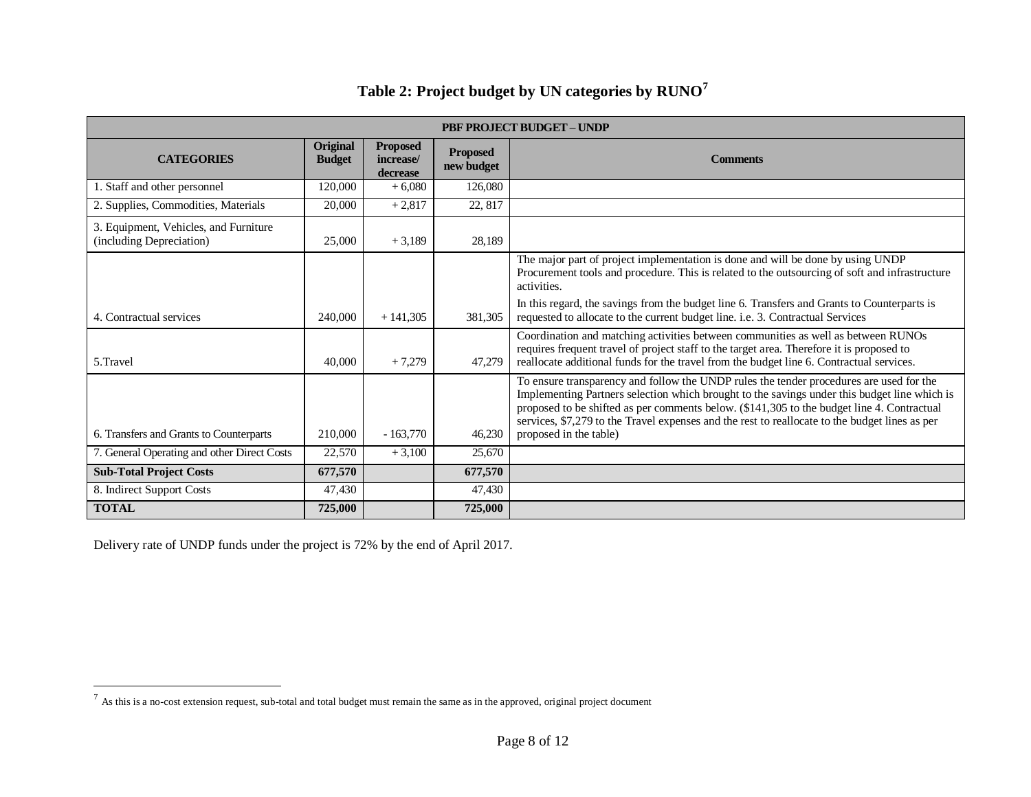| <b>PBF PROJECT BUDGET - UNDP</b>                                  |                           |                                          |                               |                                                                                                                                                                                                                                                                                                                                                                                                                   |  |  |
|-------------------------------------------------------------------|---------------------------|------------------------------------------|-------------------------------|-------------------------------------------------------------------------------------------------------------------------------------------------------------------------------------------------------------------------------------------------------------------------------------------------------------------------------------------------------------------------------------------------------------------|--|--|
| <b>CATEGORIES</b>                                                 | Original<br><b>Budget</b> | <b>Proposed</b><br>increase/<br>decrease | <b>Proposed</b><br>new budget | <b>Comments</b>                                                                                                                                                                                                                                                                                                                                                                                                   |  |  |
| 1. Staff and other personnel                                      | 120,000                   | $+6,080$                                 | 126,080                       |                                                                                                                                                                                                                                                                                                                                                                                                                   |  |  |
| 2. Supplies, Commodities, Materials                               | 20,000                    | $+2,817$                                 | 22, 817                       |                                                                                                                                                                                                                                                                                                                                                                                                                   |  |  |
| 3. Equipment, Vehicles, and Furniture<br>(including Depreciation) | 25,000                    | $+3,189$                                 | 28,189                        |                                                                                                                                                                                                                                                                                                                                                                                                                   |  |  |
|                                                                   |                           |                                          |                               | The major part of project implementation is done and will be done by using UNDP<br>Procurement tools and procedure. This is related to the outsourcing of soft and infrastructure<br>activities.                                                                                                                                                                                                                  |  |  |
| 4. Contractual services                                           | 240,000                   | $+141.305$                               | 381.305                       | In this regard, the savings from the budget line 6. Transfers and Grants to Counterparts is<br>requested to allocate to the current budget line. i.e. 3. Contractual Services                                                                                                                                                                                                                                     |  |  |
| 5.Travel                                                          | 40,000                    | $+7.279$                                 | 47.279                        | Coordination and matching activities between communities as well as between RUNOs<br>requires frequent travel of project staff to the target area. Therefore it is proposed to<br>reallocate additional funds for the travel from the budget line 6. Contractual services.                                                                                                                                        |  |  |
| 6. Transfers and Grants to Counterparts                           | 210,000                   | $-163,770$                               | 46,230                        | To ensure transparency and follow the UNDP rules the tender procedures are used for the<br>Implementing Partners selection which brought to the savings under this budget line which is<br>proposed to be shifted as per comments below. (\$141,305 to the budget line 4. Contractual<br>services, \$7,279 to the Travel expenses and the rest to reallocate to the budget lines as per<br>proposed in the table) |  |  |
| 7. General Operating and other Direct Costs                       | 22,570                    | $+3,100$                                 | 25,670                        |                                                                                                                                                                                                                                                                                                                                                                                                                   |  |  |
| <b>Sub-Total Project Costs</b>                                    | 677,570                   |                                          | 677,570                       |                                                                                                                                                                                                                                                                                                                                                                                                                   |  |  |
| 8. Indirect Support Costs                                         | 47,430                    |                                          | 47,430                        |                                                                                                                                                                                                                                                                                                                                                                                                                   |  |  |
| <b>TOTAL</b>                                                      | 725,000                   |                                          | 725,000                       |                                                                                                                                                                                                                                                                                                                                                                                                                   |  |  |

# **Table 2: Project budget by UN categories by RUNO<sup>7</sup>**

Delivery rate of UNDP funds under the project is 72% by the end of April 2017.

<sup>&</sup>lt;sup>7</sup> As this is a no-cost extension request, sub-total and total budget must remain the same as in the approved, original project document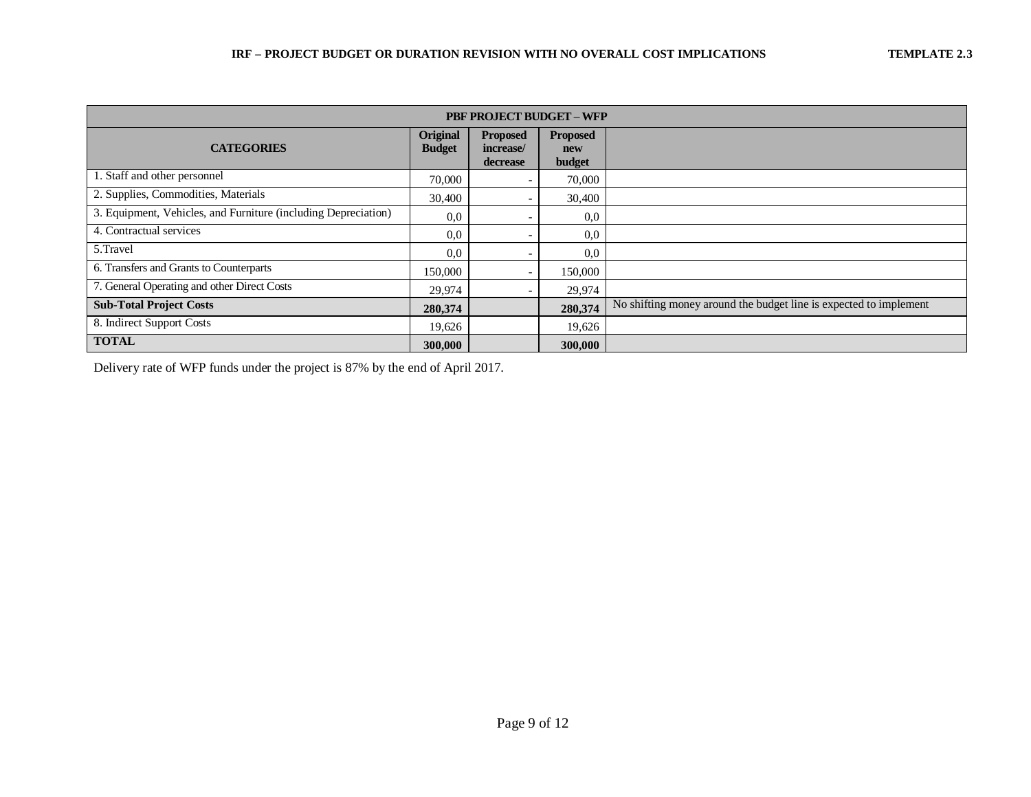| <b>PBF PROJECT BUDGET - WFP</b>                                |                           |                                          |                                  |                                                                   |  |  |
|----------------------------------------------------------------|---------------------------|------------------------------------------|----------------------------------|-------------------------------------------------------------------|--|--|
| <b>CATEGORIES</b>                                              | Original<br><b>Budget</b> | <b>Proposed</b><br>increase/<br>decrease | <b>Proposed</b><br>new<br>budget |                                                                   |  |  |
| 1. Staff and other personnel                                   | 70,000                    |                                          | 70,000                           |                                                                   |  |  |
| 2. Supplies, Commodities, Materials                            | 30,400                    |                                          | 30,400                           |                                                                   |  |  |
| 3. Equipment, Vehicles, and Furniture (including Depreciation) | 0,0                       |                                          | 0.0                              |                                                                   |  |  |
| 4. Contractual services                                        | 0,0                       |                                          | 0,0                              |                                                                   |  |  |
| 5.Travel                                                       | 0,0                       |                                          | 0.0                              |                                                                   |  |  |
| 6. Transfers and Grants to Counterparts                        | 150,000                   |                                          | 150,000                          |                                                                   |  |  |
| 7. General Operating and other Direct Costs                    | 29,974                    |                                          | 29,974                           |                                                                   |  |  |
| <b>Sub-Total Project Costs</b>                                 | 280,374                   |                                          | 280,374                          | No shifting money around the budget line is expected to implement |  |  |
| 8. Indirect Support Costs                                      | 19,626                    |                                          | 19,626                           |                                                                   |  |  |
| <b>TOTAL</b>                                                   | 300,000                   |                                          | 300,000                          |                                                                   |  |  |

Delivery rate of WFP funds under the project is 87% by the end of April 2017.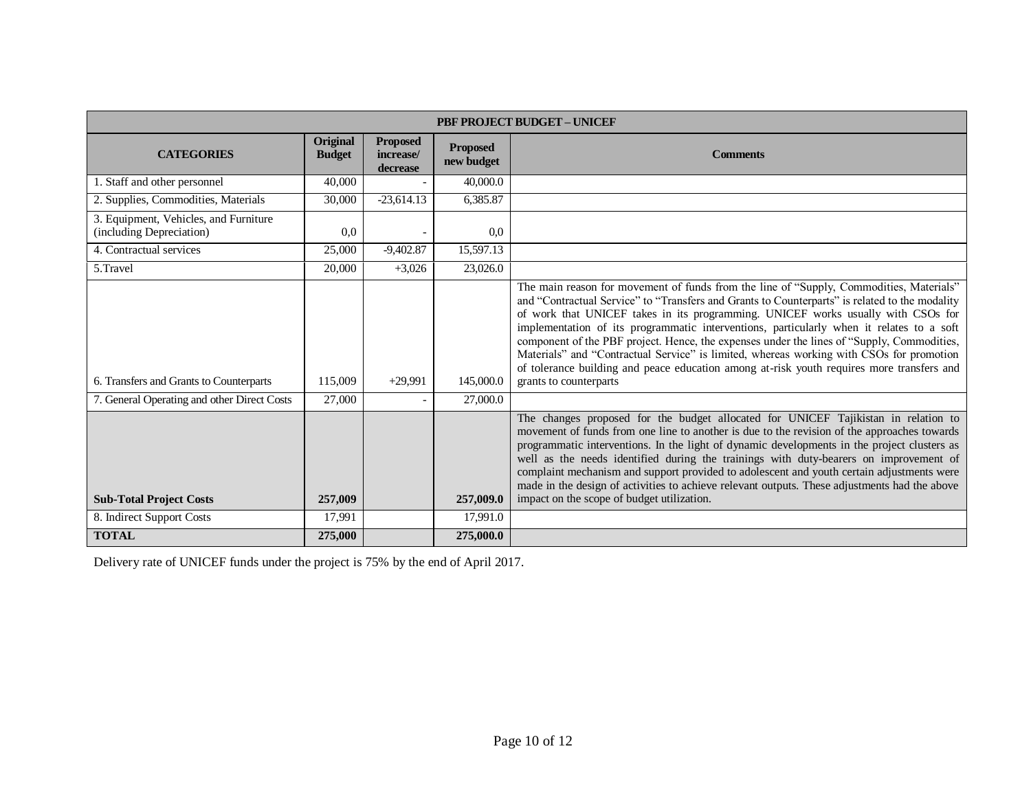| <b>PBF PROJECT BUDGET - UNICEF</b>                                |                           |                                          |                               |                                                                                                                                                                                                                                                                                                                                                                                                                                                                                                                                                                                                                                                                                            |  |
|-------------------------------------------------------------------|---------------------------|------------------------------------------|-------------------------------|--------------------------------------------------------------------------------------------------------------------------------------------------------------------------------------------------------------------------------------------------------------------------------------------------------------------------------------------------------------------------------------------------------------------------------------------------------------------------------------------------------------------------------------------------------------------------------------------------------------------------------------------------------------------------------------------|--|
| <b>CATEGORIES</b>                                                 | Original<br><b>Budget</b> | <b>Proposed</b><br>increase/<br>decrease | <b>Proposed</b><br>new budget | <b>Comments</b>                                                                                                                                                                                                                                                                                                                                                                                                                                                                                                                                                                                                                                                                            |  |
| 1. Staff and other personnel                                      | 40,000                    |                                          | 40,000.0                      |                                                                                                                                                                                                                                                                                                                                                                                                                                                                                                                                                                                                                                                                                            |  |
| 2. Supplies, Commodities, Materials                               | 30,000                    | $-23,614.13$                             | 6,385.87                      |                                                                                                                                                                                                                                                                                                                                                                                                                                                                                                                                                                                                                                                                                            |  |
| 3. Equipment, Vehicles, and Furniture<br>(including Depreciation) | 0.0                       |                                          | 0.0                           |                                                                                                                                                                                                                                                                                                                                                                                                                                                                                                                                                                                                                                                                                            |  |
| 4. Contractual services                                           | 25,000                    | $-9,402.87$                              | 15,597.13                     |                                                                                                                                                                                                                                                                                                                                                                                                                                                                                                                                                                                                                                                                                            |  |
| 5.Travel                                                          | 20,000                    | $+3,026$                                 | 23,026.0                      |                                                                                                                                                                                                                                                                                                                                                                                                                                                                                                                                                                                                                                                                                            |  |
| 6. Transfers and Grants to Counterparts                           | 115,009                   | $+29,991$                                | 145,000.0                     | The main reason for movement of funds from the line of "Supply, Commodities, Materials"<br>and "Contractual Service" to "Transfers and Grants to Counterparts" is related to the modality<br>of work that UNICEF takes in its programming. UNICEF works usually with CSOs for<br>implementation of its programmatic interventions, particularly when it relates to a soft<br>component of the PBF project. Hence, the expenses under the lines of "Supply, Commodities,<br>Materials" and "Contractual Service" is limited, whereas working with CSOs for promotion<br>of tolerance building and peace education among at-risk youth requires more transfers and<br>grants to counterparts |  |
| 7. General Operating and other Direct Costs                       | 27,000                    |                                          | 27,000.0                      |                                                                                                                                                                                                                                                                                                                                                                                                                                                                                                                                                                                                                                                                                            |  |
| <b>Sub-Total Project Costs</b>                                    | 257,009                   |                                          | 257,009.0                     | The changes proposed for the budget allocated for UNICEF Tajikistan in relation to<br>movement of funds from one line to another is due to the revision of the approaches towards<br>programmatic interventions. In the light of dynamic developments in the project clusters as<br>well as the needs identified during the trainings with duty-bearers on improvement of<br>complaint mechanism and support provided to adolescent and youth certain adjustments were<br>made in the design of activities to achieve relevant outputs. These adjustments had the above<br>impact on the scope of budget utilization.                                                                      |  |
| 8. Indirect Support Costs                                         | 17,991                    |                                          | 17,991.0                      |                                                                                                                                                                                                                                                                                                                                                                                                                                                                                                                                                                                                                                                                                            |  |
| <b>TOTAL</b>                                                      | 275,000                   |                                          | 275,000.0                     |                                                                                                                                                                                                                                                                                                                                                                                                                                                                                                                                                                                                                                                                                            |  |

Delivery rate of UNICEF funds under the project is 75% by the end of April 2017.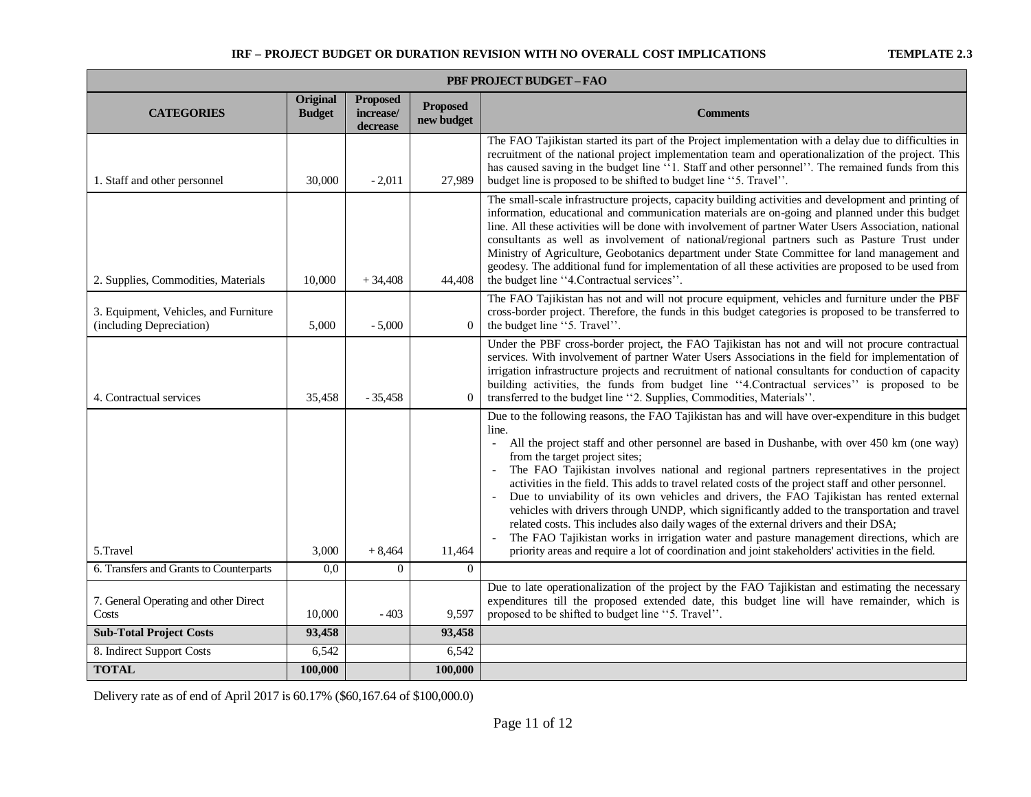| <b>PBF PROJECT BUDGET - FAO</b>                                   |                           |                                          |                               |                                                                                                                                                                                                                                                                                                                                                                                                                                                                                                                                                                                                                                                                                                                                                                                                                                                                                                                                                                         |  |  |
|-------------------------------------------------------------------|---------------------------|------------------------------------------|-------------------------------|-------------------------------------------------------------------------------------------------------------------------------------------------------------------------------------------------------------------------------------------------------------------------------------------------------------------------------------------------------------------------------------------------------------------------------------------------------------------------------------------------------------------------------------------------------------------------------------------------------------------------------------------------------------------------------------------------------------------------------------------------------------------------------------------------------------------------------------------------------------------------------------------------------------------------------------------------------------------------|--|--|
| <b>CATEGORIES</b>                                                 | Original<br><b>Budget</b> | <b>Proposed</b><br>increase/<br>decrease | <b>Proposed</b><br>new budget | <b>Comments</b>                                                                                                                                                                                                                                                                                                                                                                                                                                                                                                                                                                                                                                                                                                                                                                                                                                                                                                                                                         |  |  |
| 1. Staff and other personnel                                      | 30,000                    | $-2,011$                                 | 27,989                        | The FAO Tajikistan started its part of the Project implementation with a delay due to difficulties in<br>recruitment of the national project implementation team and operationalization of the project. This<br>has caused saving in the budget line "1. Staff and other personnel". The remained funds from this<br>budget line is proposed to be shifted to budget line "5. Travel".                                                                                                                                                                                                                                                                                                                                                                                                                                                                                                                                                                                  |  |  |
| 2. Supplies, Commodities, Materials                               | 10,000                    | $+34,408$                                | 44,408                        | The small-scale infrastructure projects, capacity building activities and development and printing of<br>information, educational and communication materials are on-going and planned under this budget<br>line. All these activities will be done with involvement of partner Water Users Association, national<br>consultants as well as involvement of national/regional partners such as Pasture Trust under<br>Ministry of Agriculture, Geobotanics department under State Committee for land management and<br>geodesy. The additional fund for implementation of all these activities are proposed to be used from<br>the budget line "4. Contractual services".                                                                                                                                                                                                                                                                                                |  |  |
| 3. Equipment, Vehicles, and Furniture<br>(including Depreciation) | 5,000                     | $-5,000$                                 | $\theta$                      | The FAO Tajikistan has not and will not procure equipment, vehicles and furniture under the PBF<br>cross-border project. Therefore, the funds in this budget categories is proposed to be transferred to<br>the budget line "5. Travel".                                                                                                                                                                                                                                                                                                                                                                                                                                                                                                                                                                                                                                                                                                                                |  |  |
| 4. Contractual services                                           | 35,458                    | $-35,458$                                | $\theta$                      | Under the PBF cross-border project, the FAO Tajikistan has not and will not procure contractual<br>services. With involvement of partner Water Users Associations in the field for implementation of<br>irrigation infrastructure projects and recruitment of national consultants for conduction of capacity<br>building activities, the funds from budget line "4. Contractual services" is proposed to be<br>transferred to the budget line "2. Supplies, Commodities, Materials".                                                                                                                                                                                                                                                                                                                                                                                                                                                                                   |  |  |
| 5.Travel                                                          | 3,000                     | $+8,464$                                 | 11,464                        | Due to the following reasons, the FAO Tajikistan has and will have over-expenditure in this budget<br>line.<br>All the project staff and other personnel are based in Dushanbe, with over 450 km (one way)<br>$\overline{\phantom{a}}$<br>from the target project sites;<br>The FAO Tajikistan involves national and regional partners representatives in the project<br>activities in the field. This adds to travel related costs of the project staff and other personnel.<br>Due to unviability of its own vehicles and drivers, the FAO Tajikistan has rented external<br>vehicles with drivers through UNDP, which significantly added to the transportation and travel<br>related costs. This includes also daily wages of the external drivers and their DSA;<br>The FAO Tajikistan works in irrigation water and pasture management directions, which are<br>priority areas and require a lot of coordination and joint stakeholders' activities in the field. |  |  |
| 6. Transfers and Grants to Counterparts                           | 0,0                       | $\Omega$                                 | $\Omega$                      |                                                                                                                                                                                                                                                                                                                                                                                                                                                                                                                                                                                                                                                                                                                                                                                                                                                                                                                                                                         |  |  |
| 7. General Operating and other Direct<br>Costs                    | 10,000                    | $-403$                                   | 9,597                         | Due to late operationalization of the project by the FAO Tajikistan and estimating the necessary<br>expenditures till the proposed extended date, this budget line will have remainder, which is<br>proposed to be shifted to budget line "5. Travel".                                                                                                                                                                                                                                                                                                                                                                                                                                                                                                                                                                                                                                                                                                                  |  |  |
| <b>Sub-Total Project Costs</b>                                    | 93,458                    |                                          | 93,458                        |                                                                                                                                                                                                                                                                                                                                                                                                                                                                                                                                                                                                                                                                                                                                                                                                                                                                                                                                                                         |  |  |
| 8. Indirect Support Costs                                         | 6,542                     |                                          | 6,542                         |                                                                                                                                                                                                                                                                                                                                                                                                                                                                                                                                                                                                                                                                                                                                                                                                                                                                                                                                                                         |  |  |
| <b>TOTAL</b>                                                      | 100,000                   |                                          | 100,000                       |                                                                                                                                                                                                                                                                                                                                                                                                                                                                                                                                                                                                                                                                                                                                                                                                                                                                                                                                                                         |  |  |

Delivery rate as of end of April 2017 is 60.17% (\$60,167.64 of \$100,000.0)